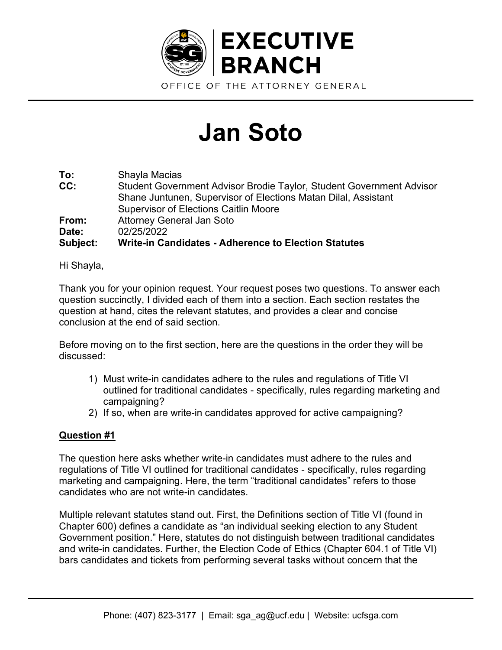

## **Jan Soto**

**To:** Shayla Macias **CC:** Student Government Advisor Brodie Taylor, Student Government Advisor Shane Juntunen, Supervisor of Elections Matan Dilal, Assistant Supervisor of Elections Caitlin Moore **From:** Attorney General Jan Soto **Date:** 02/25/2022 **Subject: Write-in Candidates - Adherence to Election Statutes** 

Hi Shayla,

Thank you for your opinion request. Your request poses two questions. To answer each question succinctly, I divided each of them into a section. Each section restates the question at hand, cites the relevant statutes, and provides a clear and concise conclusion at the end of said section.

Before moving on to the first section, here are the questions in the order they will be discussed:

- 1) Must write-in candidates adhere to the rules and regulations of Title VI outlined for traditional candidates - specifically, rules regarding marketing and campaigning?
- 2) If so, when are write-in candidates approved for active campaigning?

## **Question #1**

The question here asks whether write-in candidates must adhere to the rules and regulations of Title VI outlined for traditional candidates - specifically, rules regarding marketing and campaigning. Here, the term "traditional candidates" refers to those candidates who are not write-in candidates.

Multiple relevant statutes stand out. First, the Definitions section of Title VI (found in Chapter 600) defines a candidate as "an individual seeking election to any Student Government position." Here, statutes do not distinguish between traditional candidates and write-in candidates. Further, the Election Code of Ethics (Chapter 604.1 of Title VI) bars candidates and tickets from performing several tasks without concern that the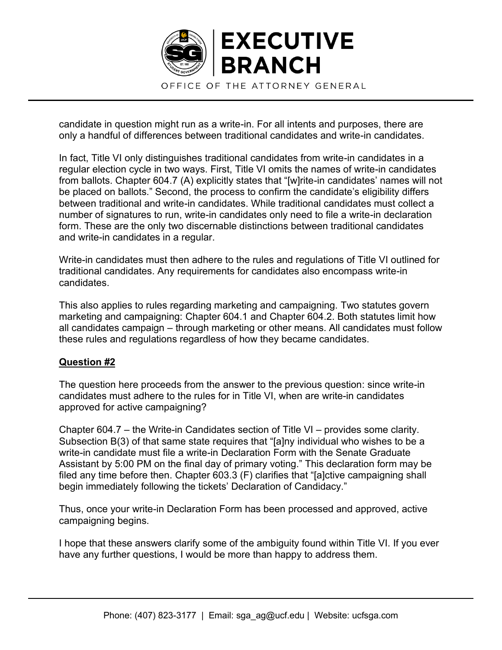

candidate in question might run as a write-in. For all intents and purposes, there are only a handful of differences between traditional candidates and write-in candidates.

In fact, Title VI only distinguishes traditional candidates from write-in candidates in a regular election cycle in two ways. First, Title VI omits the names of write-in candidates from ballots. Chapter 604.7 (A) explicitly states that "[w]rite-in candidates' names will not be placed on ballots." Second, the process to confirm the candidate's eligibility differs between traditional and write-in candidates. While traditional candidates must collect a number of signatures to run, write-in candidates only need to file a write-in declaration form. These are the only two discernable distinctions between traditional candidates and write-in candidates in a regular.

Write-in candidates must then adhere to the rules and regulations of Title VI outlined for traditional candidates. Any requirements for candidates also encompass write-in candidates.

This also applies to rules regarding marketing and campaigning. Two statutes govern marketing and campaigning: Chapter 604.1 and Chapter 604.2. Both statutes limit how all candidates campaign – through marketing or other means. All candidates must follow these rules and regulations regardless of how they became candidates.

## **Question #2**

The question here proceeds from the answer to the previous question: since write-in candidates must adhere to the rules for in Title VI, when are write-in candidates approved for active campaigning?

Chapter 604.7  $-$  the Write-in Candidates section of Title VI  $-$  provides some clarity. Subsection  $B(3)$  of that same state requires that "[a]ny individual who wishes to be a write-in candidate must file a write-in Declaration Form with the Senate Graduate Assistant by 5:00 PM on the final day of primary voting." This declaration form may be filed any time before then. Chapter 603.3 (F) clarifies that "[a]ctive campaigning shall begin immediately following the tickets' Declaration of Candidacy."

Thus, once your write-in Declaration Form has been processed and approved, active campaigning begins.

I hope that these answers clarify some of the ambiguity found within Title VI. If you ever have any further questions, I would be more than happy to address them.